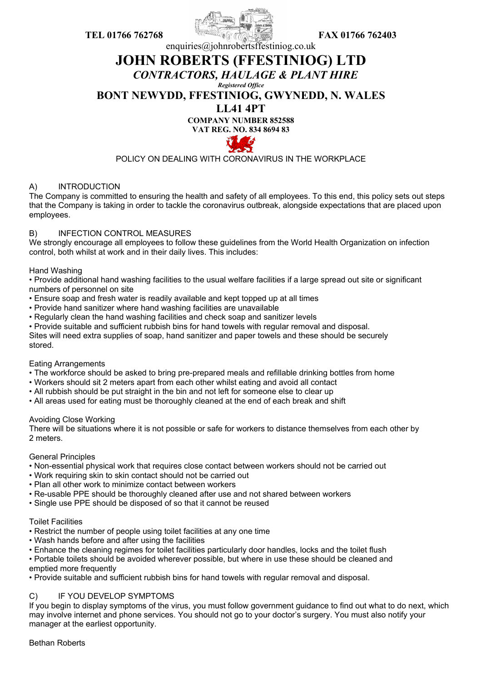

# enquiries@johnrobertsffestiniog.co.uk

**JOHN ROBERTS (FFESTINIOG) LTD**

*CONTRACTORS, HAULAGE & PLANT HIRE Registered Office*

**BONT NEWYDD, FFESTINIOG, GWYNEDD, N. WALES** 

# **LL41 4PT**

**COMPANY NUMBER 852588**

**VAT REG. NO. 834 8694 83**



POLICY ON DEALING WITH CORONAVIRUS IN THE WORKPLACE

## A) INTRODUCTION

The Company is committed to ensuring the health and safety of all employees. To this end, this policy sets out steps that the Company is taking in order to tackle the coronavirus outbreak, alongside expectations that are placed upon employees.

## B) INFECTION CONTROL MEASURES

We strongly encourage all employees to follow these guidelines from the World Health Organization on infection control, both whilst at work and in their daily lives. This includes:

#### Hand Washing

• Provide additional hand washing facilities to the usual welfare facilities if a large spread out site or significant numbers of personnel on site

- Ensure soap and fresh water is readily available and kept topped up at all times
- Provide hand sanitizer where hand washing facilities are unavailable
- Regularly clean the hand washing facilities and check soap and sanitizer levels

• Provide suitable and sufficient rubbish bins for hand towels with regular removal and disposal.

Sites will need extra supplies of soap, hand sanitizer and paper towels and these should be securely stored.

### Eating Arrangements

- The workforce should be asked to bring pre-prepared meals and refillable drinking bottles from home
- Workers should sit 2 meters apart from each other whilst eating and avoid all contact
- All rubbish should be put straight in the bin and not left for someone else to clear up
- All areas used for eating must be thoroughly cleaned at the end of each break and shift

### Avoiding Close Working

There will be situations where it is not possible or safe for workers to distance themselves from each other by 2 meters.

#### General Principles

- Non-essential physical work that requires close contact between workers should not be carried out
- Work requiring skin to skin contact should not be carried out
- Plan all other work to minimize contact between workers
- Re-usable PPE should be thoroughly cleaned after use and not shared between workers
- Single use PPE should be disposed of so that it cannot be reused

### Toilet Facilities

- Restrict the number of people using toilet facilities at any one time
- Wash hands before and after using the facilities
- Enhance the cleaning regimes for toilet facilities particularly door handles, locks and the toilet flush
- Portable toilets should be avoided wherever possible, but where in use these should be cleaned and emptied more frequently

• Provide suitable and sufficient rubbish bins for hand towels with regular removal and disposal.

### C) IF YOU DEVELOP SYMPTOMS

If you begin to display symptoms of the virus, you must follow government guidance to find out what to do next, which may involve internet and phone services. You should not go to your doctor's surgery. You must also notify your manager at the earliest opportunity.

Bethan Roberts